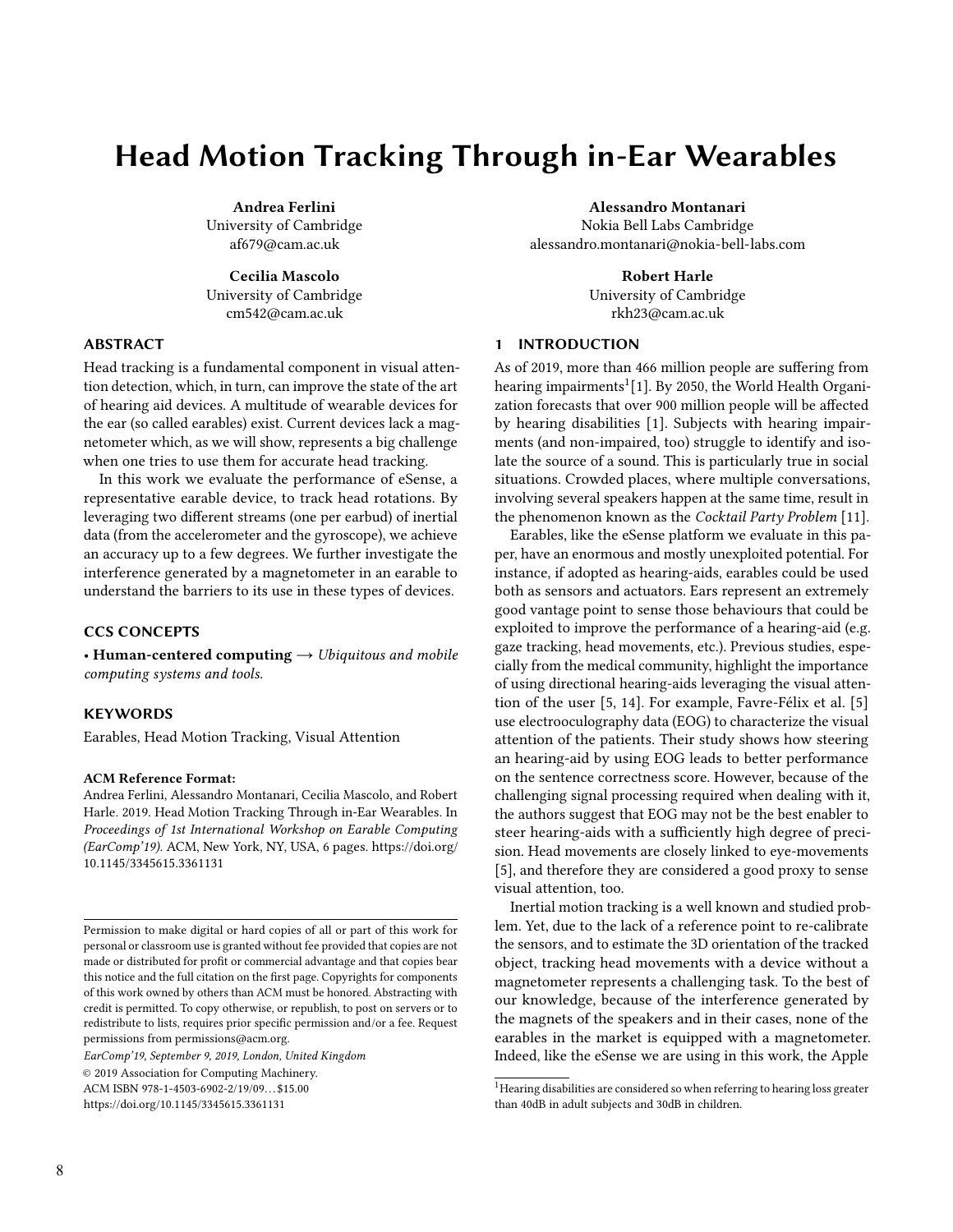# Head Motion Tracking Through in-Ear Wearables

Andrea Ferlini University of Cambridge af679@cam.ac.uk

Cecilia Mascolo University of Cambridge cm542@cam.ac.uk

## ABSTRACT

Head tracking is a fundamental component in visual attention detection, which, in turn, can improve the state of the art of hearing aid devices. A multitude of wearable devices for the ear (so called earables) exist. Current devices lack a magnetometer which, as we will show, represents a big challenge when one tries to use them for accurate head tracking.

In this work we evaluate the performance of eSense, a representative earable device, to track head rotations. By leveraging two different streams (one per earbud) of inertial data (from the accelerometer and the gyroscope), we achieve an accuracy up to a few degrees. We further investigate the interference generated by a magnetometer in an earable to understand the barriers to its use in these types of devices.

#### CCS CONCEPTS

• Human-centered computing  $\rightarrow$  Ubiquitous and mobile computing systems and tools.

#### **KEYWORDS**

Earables, Head Motion Tracking, Visual Attention

# ACM Reference Format:

Andrea Ferlini, Alessandro Montanari, Cecilia Mascolo, and Robert Harle. 2019. Head Motion Tracking Through in-Ear Wearables. In Proceedings of 1st International Workshop on Earable Computing (EarComp'19). ACM, New York, NY, USA, [6](#page-5-0) pages. [https://doi.org/](https://doi.org/10.1145/3345615.3361131) [10.1145/3345615.3361131](https://doi.org/10.1145/3345615.3361131)

EarComp'19, September 9, 2019, London, United Kingdom © 2019 Association for Computing Machinery. ACM ISBN 978-1-4503-6902-2/19/09. . . \$15.00 <https://doi.org/10.1145/3345615.3361131>

Alessandro Montanari

Nokia Bell Labs Cambridge alessandro.montanari@nokia-bell-labs.com

> Robert Harle University of Cambridge rkh23@cam.ac.uk

# 1 INTRODUCTION

As of 2019, more than 466 million people are suffering from hearing impairments<sup>[1](#page-0-0)</sup>[\[1\]](#page-5-1). By 2050, the World Health Organization forecasts that over 900 million people will be affected by hearing disabilities [\[1\]](#page-5-1). Subjects with hearing impairments (and non-impaired, too) struggle to identify and isolate the source of a sound. This is particularly true in social situations. Crowded places, where multiple conversations, involving several speakers happen at the same time, result in the phenomenon known as the Cocktail Party Problem [\[11\]](#page-5-2).

Earables, like the eSense platform we evaluate in this paper, have an enormous and mostly unexploited potential. For instance, if adopted as hearing-aids, earables could be used both as sensors and actuators. Ears represent an extremely good vantage point to sense those behaviours that could be exploited to improve the performance of a hearing-aid (e.g. gaze tracking, head movements, etc.). Previous studies, especially from the medical community, highlight the importance of using directional hearing-aids leveraging the visual attention of the user [\[5,](#page-5-3) [14\]](#page-5-4). For example, Favre-Félix et al. [\[5\]](#page-5-3) use electrooculography data (EOG) to characterize the visual attention of the patients. Their study shows how steering an hearing-aid by using EOG leads to better performance on the sentence correctness score. However, because of the challenging signal processing required when dealing with it, the authors suggest that EOG may not be the best enabler to steer hearing-aids with a sufficiently high degree of precision. Head movements are closely linked to eye-movements [\[5\]](#page-5-3), and therefore they are considered a good proxy to sense visual attention, too.

Inertial motion tracking is a well known and studied problem. Yet, due to the lack of a reference point to re-calibrate the sensors, and to estimate the 3D orientation of the tracked object, tracking head movements with a device without a magnetometer represents a challenging task. To the best of our knowledge, because of the interference generated by the magnets of the speakers and in their cases, none of the earables in the market is equipped with a magnetometer. Indeed, like the eSense we are using in this work, the Apple

Permission to make digital or hard copies of all or part of this work for personal or classroom use is granted without fee provided that copies are not made or distributed for profit or commercial advantage and that copies bear this notice and the full citation on the first page. Copyrights for components of this work owned by others than ACM must be honored. Abstracting with credit is permitted. To copy otherwise, or republish, to post on servers or to redistribute to lists, requires prior specific permission and/or a fee. Request permissions from permissions@acm.org.

<span id="page-0-0"></span><sup>&</sup>lt;sup>1</sup>Hearing disabilities are considered so when referring to hearing loss greater than 40dB in adult subjects and 30dB in children.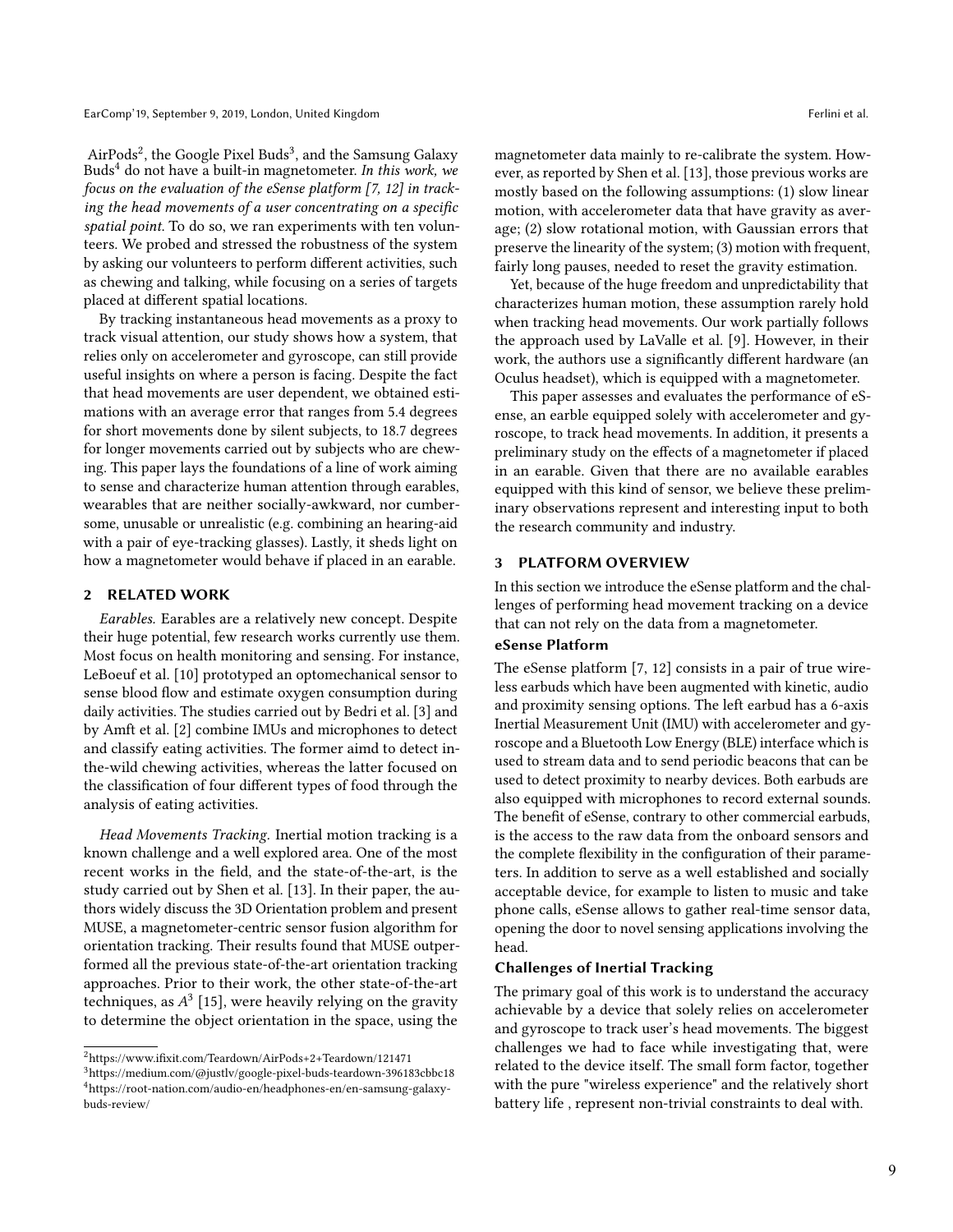AirPods<sup>[2](#page-1-0)</sup>, the Google Pixel Buds<sup>[3](#page-1-1)</sup>, and the Samsung Galaxy Buds[4](#page-1-2) do not have a built-in magnetometer. In this work, we focus on the evaluation of the eSense platform [\[7,](#page-5-5) [12\]](#page-5-6) in tracking the head movements of a user concentrating on a specific spatial point. To do so, we ran experiments with ten volunteers. We probed and stressed the robustness of the system by asking our volunteers to perform different activities, such as chewing and talking, while focusing on a series of targets placed at different spatial locations.

By tracking instantaneous head movements as a proxy to track visual attention, our study shows how a system, that relies only on accelerometer and gyroscope, can still provide useful insights on where a person is facing. Despite the fact that head movements are user dependent, we obtained estimations with an average error that ranges from 5.4 degrees for short movements done by silent subjects, to 18.7 degrees for longer movements carried out by subjects who are chewing. This paper lays the foundations of a line of work aiming to sense and characterize human attention through earables, wearables that are neither socially-awkward, nor cumbersome, unusable or unrealistic (e.g. combining an hearing-aid with a pair of eye-tracking glasses). Lastly, it sheds light on how a magnetometer would behave if placed in an earable.

## 2 RELATED WORK

Earables. Earables are a relatively new concept. Despite their huge potential, few research works currently use them. Most focus on health monitoring and sensing. For instance, LeBoeuf et al. [\[10\]](#page-5-7) prototyped an optomechanical sensor to sense blood flow and estimate oxygen consumption during daily activities. The studies carried out by Bedri et al. [\[3\]](#page-5-8) and by Amft et al. [\[2\]](#page-5-9) combine IMUs and microphones to detect and classify eating activities. The former aimd to detect inthe-wild chewing activities, whereas the latter focused on the classification of four different types of food through the analysis of eating activities.

Head Movements Tracking. Inertial motion tracking is a known challenge and a well explored area. One of the most recent works in the field, and the state-of-the-art, is the study carried out by Shen et al. [\[13\]](#page-5-10). In their paper, the authors widely discuss the 3D Orientation problem and present MUSE, a magnetometer-centric sensor fusion algorithm for orientation tracking. Their results found that MUSE outperformed all the previous state-of-the-art orientation tracking approaches. Prior to their work, the other state-of-the-art techniques, as  $A^3$  [\[15\]](#page-5-11), were heavily relying on the gravity<br>to determine the object orientation in the space, using the to determine the object orientation in the space, using the

magnetometer data mainly to re-calibrate the system. However, as reported by Shen et al. [\[13\]](#page-5-10), those previous works are mostly based on the following assumptions: (1) slow linear motion, with accelerometer data that have gravity as average; (2) slow rotational motion, with Gaussian errors that preserve the linearity of the system; (3) motion with frequent, fairly long pauses, needed to reset the gravity estimation.

Yet, because of the huge freedom and unpredictability that characterizes human motion, these assumption rarely hold when tracking head movements. Our work partially follows the approach used by LaValle et al. [\[9\]](#page-5-12). However, in their work, the authors use a significantly different hardware (an Oculus headset), which is equipped with a magnetometer.

This paper assesses and evaluates the performance of eSense, an earble equipped solely with accelerometer and gyroscope, to track head movements. In addition, it presents a preliminary study on the effects of a magnetometer if placed in an earable. Given that there are no available earables equipped with this kind of sensor, we believe these preliminary observations represent and interesting input to both the research community and industry.

## 3 PLATFORM OVERVIEW

In this section we introduce the eSense platform and the challenges of performing head movement tracking on a device that can not rely on the data from a magnetometer.

# eSense Platform

The eSense platform [\[7,](#page-5-5) [12\]](#page-5-6) consists in a pair of true wireless earbuds which have been augmented with kinetic, audio and proximity sensing options. The left earbud has a 6-axis Inertial Measurement Unit (IMU) with accelerometer and gyroscope and a Bluetooth Low Energy (BLE) interface which is used to stream data and to send periodic beacons that can be used to detect proximity to nearby devices. Both earbuds are also equipped with microphones to record external sounds. The benefit of eSense, contrary to other commercial earbuds, is the access to the raw data from the onboard sensors and the complete flexibility in the configuration of their parameters. In addition to serve as a well established and socially acceptable device, for example to listen to music and take phone calls, eSense allows to gather real-time sensor data, opening the door to novel sensing applications involving the head.

## Challenges of Inertial Tracking

The primary goal of this work is to understand the accuracy achievable by a device that solely relies on accelerometer and gyroscope to track user's head movements. The biggest challenges we had to face while investigating that, were related to the device itself. The small form factor, together with the pure "wireless experience" and the relatively short battery life , represent non-trivial constraints to deal with.

<span id="page-1-0"></span> $^2$ https://www.ifixit.com/Teardown/AirPods+2+Teardown/121471

<span id="page-1-2"></span><span id="page-1-1"></span> $^3$ https://medium.com/@justlv/google-pixel-buds-teardown-396183cbbc18 <sup>4</sup>https://root-nation.com/audio-en/headphones-en/en-samsung-galaxybuds-review/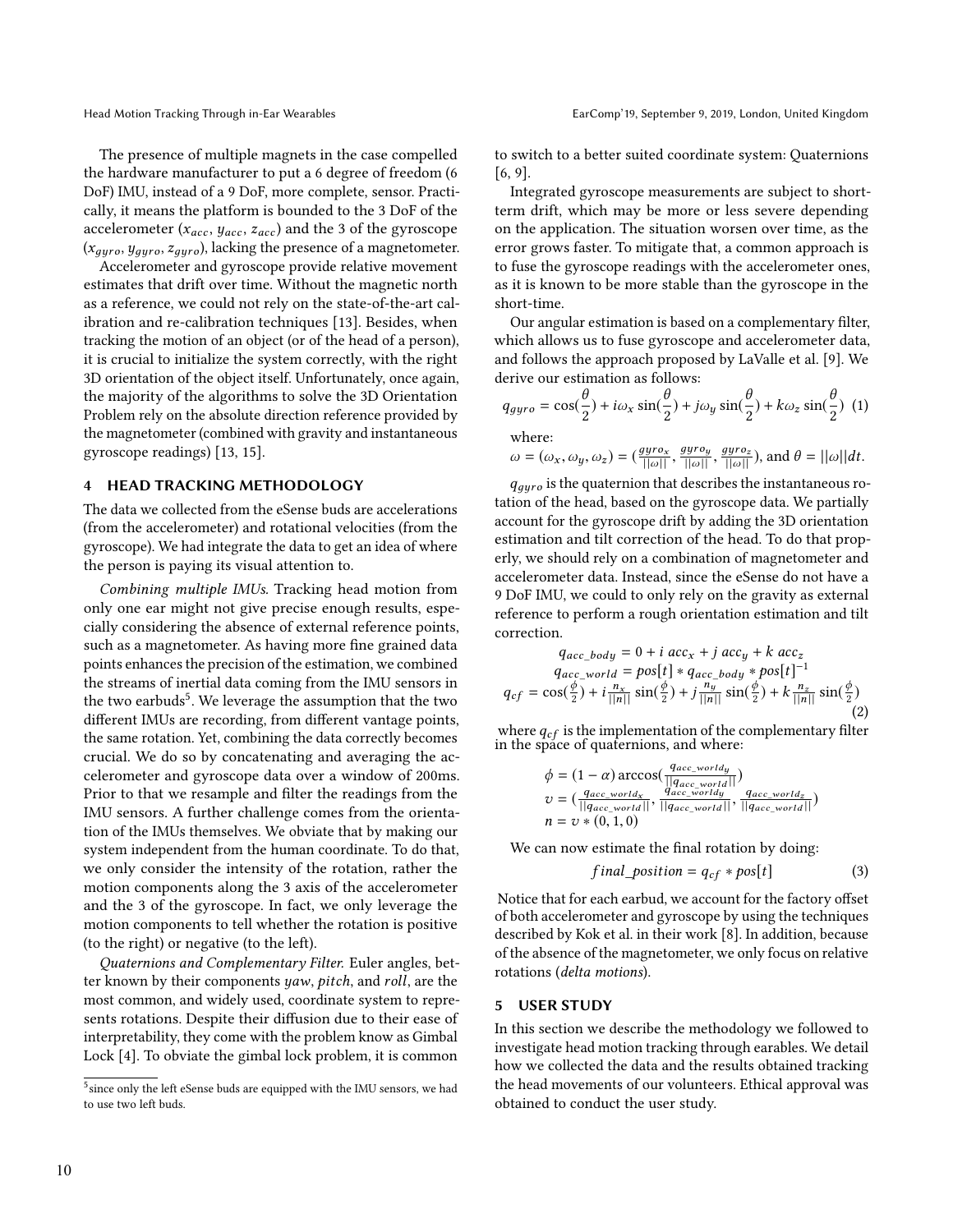The presence of multiple magnets in the case compelled the hardware manufacturer to put a 6 degree of freedom (6 DoF) IMU, instead of a 9 DoF, more complete, sensor. Practically, it means the platform is bounded to the 3 DoF of the accelerometer ( $x_{acc}$ ,  $y_{acc}$ ,  $z_{acc}$ ) and the 3 of the gyroscope  $(x_{gyro}, y_{gyro}, z_{gyro})$ , lacking the presence of a magnetometer.

Accelerometer and gyroscope provide relative movement estimates that drift over time. Without the magnetic north as a reference, we could not rely on the state-of-the-art calibration and re-calibration techniques [\[13\]](#page-5-10). Besides, when tracking the motion of an object (or of the head of a person), it is crucial to initialize the system correctly, with the right 3D orientation of the object itself. Unfortunately, once again, the majority of the algorithms to solve the 3D Orientation Problem rely on the absolute direction reference provided by the magnetometer (combined with gravity and instantaneous gyroscope readings) [\[13,](#page-5-10) [15\]](#page-5-11).

# <span id="page-2-1"></span>4 HEAD TRACKING METHODOLOGY

The data we collected from the eSense buds are accelerations (from the accelerometer) and rotational velocities (from the gyroscope). We had integrate the data to get an idea of where the person is paying its visual attention to.

Combining multiple IMUs. Tracking head motion from only one ear might not give precise enough results, especially considering the absence of external reference points, such as a magnetometer. As having more fine grained data points enhances the precision of the estimation, we combined the streams of inertial data coming from the IMU sensors in the two earbuds<sup>[5](#page-2-0)</sup>. We leverage the assumption that the two different IMUs are recording, from different vantage points, the same rotation. Yet, combining the data correctly becomes crucial. We do so by concatenating and averaging the accelerometer and gyroscope data over a window of 200ms. Prior to that we resample and filter the readings from the IMU sensors. A further challenge comes from the orientation of the IMUs themselves. We obviate that by making our system independent from the human coordinate. To do that, we only consider the intensity of the rotation, rather the motion components along the 3 axis of the accelerometer and the 3 of the gyroscope. In fact, we only leverage the motion components to tell whether the rotation is positive (to the right) or negative (to the left).

Quaternions and Complementary Filter. Euler angles, better known by their components yaw, pitch, and roll, are the most common, and widely used, coordinate system to represents rotations. Despite their diffusion due to their ease of interpretability, they come with the problem know as Gimbal Lock [\[4\]](#page-5-13). To obviate the gimbal lock problem, it is common

to switch to a better suited coordinate system: Quaternions [\[6,](#page-5-14) [9\]](#page-5-12).

Integrated gyroscope measurements are subject to shortterm drift, which may be more or less severe depending on the application. The situation worsen over time, as the error grows faster. To mitigate that, a common approach is to fuse the gyroscope readings with the accelerometer ones, as it is known to be more stable than the gyroscope in the short-time.

Our angular estimation is based on a complementary filter, which allows us to fuse gyroscope and accelerometer data, and follows the approach proposed by LaValle et al. [\[9\]](#page-5-12). We derive our estimation as follows:

$$
q_{gyro} = \cos(\frac{\theta}{2}) + i\omega_x \sin(\frac{\theta}{2}) + j\omega_y \sin(\frac{\theta}{2}) + k\omega_z \sin(\frac{\theta}{2})
$$
 (1)  
where:  

$$
\omega = (\omega_x, \omega_y, \omega_z) = (\frac{gyro_x}{\|\omega\|}, \frac{gyro_y}{\|\omega\|}, \frac{gyro_z}{\|\omega\|}), \text{ and } \theta = ||\omega||dt.
$$

 $q_{gyro}$  is the quaternion that describes the instantaneous ro-<br>ion of the head, based on the gyroscope data. We partially tation of the head, based on the gyroscope data. We partially account for the gyroscope drift by adding the 3D orientation estimation and tilt correction of the head. To do that properly, we should rely on a combination of magnetometer and accelerometer data. Instead, since the eSense do not have a 9 DoF IMU, we could to only rely on the gravity as external reference to perform a rough orientation estimation and tilt correction.

$$
q_{acc\_body} = 0 + i acc_x + j acc_y + k acc_z
$$
  
\n
$$
q_{acc\_world} = pos[t] * q_{acc\_body} * pos[t]^{-1}
$$
  
\n
$$
q_{cf} = cos(\frac{\phi}{2}) + i \frac{n_x}{||n||} sin(\frac{\phi}{2}) + j \frac{n_y}{||n||} sin(\frac{\phi}{2}) + k \frac{n_z}{||n||} sin(\frac{\phi}{2})
$$
\n(2)

where  $q_{cf}$  is the implementation of the complementary filter in the space of quaternions, and where:

$$
\begin{aligned} \n\phi &= (1 - \alpha) \arccos\left(\frac{q_{acc\_world}}{||q_{acc\_world}||}\right) \\ \nv &= \left(\frac{q_{acc\_world}}{||q_{acc\_world}||}, \frac{q_{acc\_world}}{||q_{acc\_world}||}, \frac{q_{acc\_world}}{||q_{acc\_world}||}\right) \\ \nn &= \upsilon * (0, 1, 0) \n\end{aligned}
$$

We can now estimate the final rotation by doing:

$$
final\_position = q_{cf} * pos[t]
$$
 (3)

Notice that for each earbud, we account for the factory offset of both accelerometer and gyroscope by using the techniques described by Kok et al. in their work [\[8\]](#page-5-15). In addition, because of the absence of the magnetometer, we only focus on relative rotations (delta motions).

#### 5 USER STUDY

In this section we describe the methodology we followed to investigate head motion tracking through earables. We detail how we collected the data and the results obtained tracking the head movements of our volunteers. Ethical approval was obtained to conduct the user study.

<span id="page-2-0"></span><sup>&</sup>lt;sup>5</sup> since only the left eSense buds are equipped with the IMU sensors, we had to use two left buds.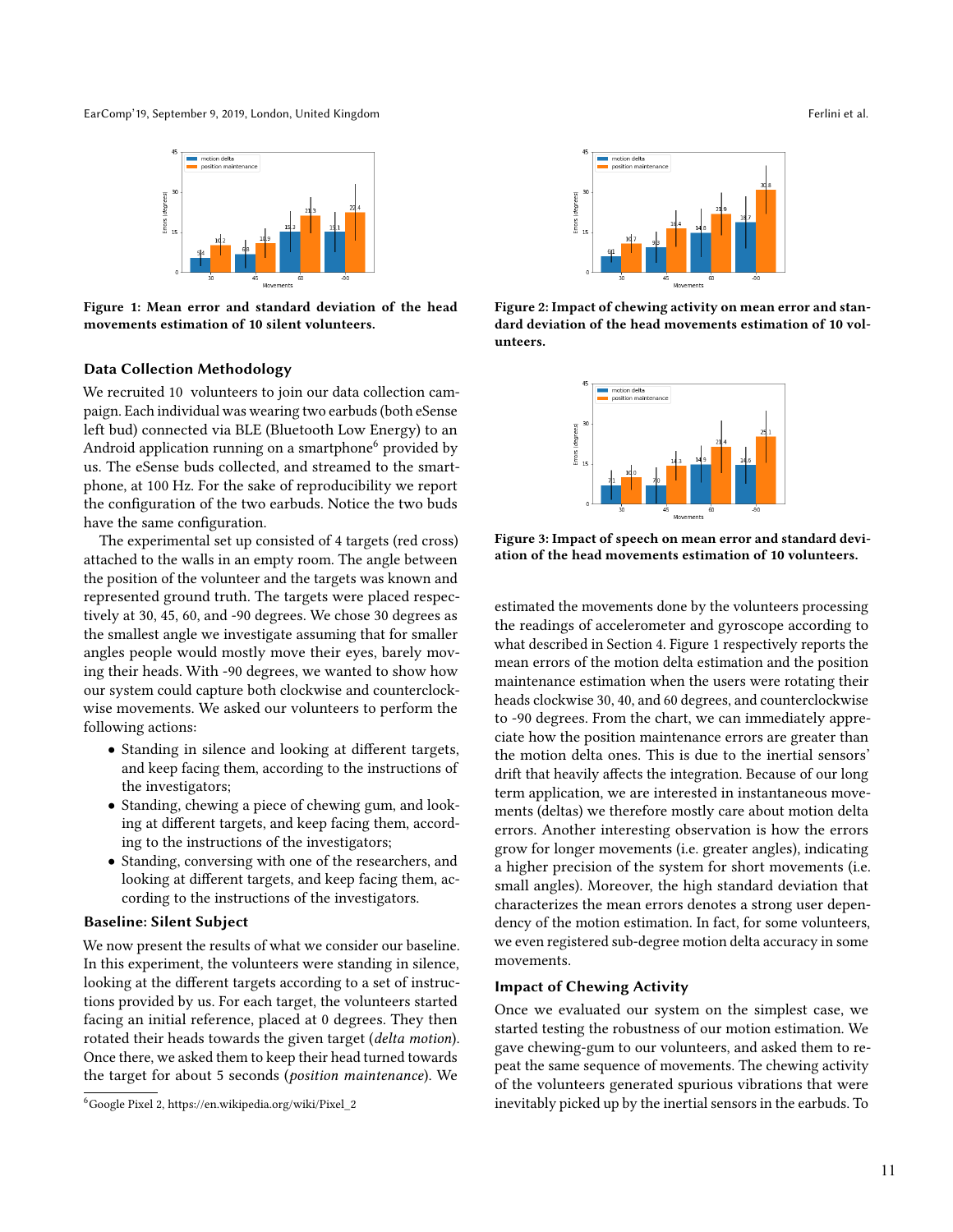<span id="page-3-1"></span>EarComp' 19, September 9, 2019, London, United Kingdom Ferlini et al. **EarComp' 19, September 9, 2019**, London, United Kingdom Ferlini et al.



Figure 1: Mean error and standard deviation of the head movements estimation of 10 silent volunteers.

## Data Collection Methodology

We recruited 10 volunteers to join our data collection campaign. Each individual was wearing two earbuds (both eSense left bud) connected via BLE (Bluetooth Low Energy) to an Android application running on a smartphone<sup>[6](#page-3-0)</sup> provided by us. The eSense buds collected, and streamed to the smartphone, at 100 Hz. For the sake of reproducibility we report the configuration of the two earbuds. Notice the two buds have the same configuration.

The experimental set up consisted of 4 targets (red cross) attached to the walls in an empty room. The angle between the position of the volunteer and the targets was known and represented ground truth. The targets were placed respectively at 30, 45, 60, and -90 degrees. We chose 30 degrees as the smallest angle we investigate assuming that for smaller angles people would mostly move their eyes, barely moving their heads. With -90 degrees, we wanted to show how our system could capture both clockwise and counterclockwise movements. We asked our volunteers to perform the following actions:

- Standing in silence and looking at different targets, and keep facing them, according to the instructions of the investigators;
- Standing, chewing a piece of chewing gum, and looking at different targets, and keep facing them, according to the instructions of the investigators;
- Standing, conversing with one of the researchers, and looking at different targets, and keep facing them, according to the instructions of the investigators.

## Baseline: Silent Subject

We now present the results of what we consider our baseline. In this experiment, the volunteers were standing in silence, looking at the different targets according to a set of instructions provided by us. For each target, the volunteers started facing an initial reference, placed at 0 degrees. They then rotated their heads towards the given target (delta motion). Once there, we asked them to keep their head turned towards the target for about 5 seconds (position maintenance). We

<span id="page-3-0"></span><sup>6</sup>Google Pixel 2, https://en.wikipedia.org/wiki/Pixel\_2

<span id="page-3-2"></span>

<span id="page-3-3"></span>Figure 2: Impact of chewing activity on mean error and standard deviation of the head movements estimation of 10 volunteers.



Figure 3: Impact of speech on mean error and standard deviation of the head movements estimation of 10 volunteers.

estimated the movements done by the volunteers processing the readings of accelerometer and gyroscope according to what described in Section [4.](#page-2-1) Figure [1](#page-3-1) respectively reports the mean errors of the motion delta estimation and the position maintenance estimation when the users were rotating their heads clockwise 30, 40, and 60 degrees, and counterclockwise to -90 degrees. From the chart, we can immediately appreciate how the position maintenance errors are greater than the motion delta ones. This is due to the inertial sensors' drift that heavily affects the integration. Because of our long term application, we are interested in instantaneous movements (deltas) we therefore mostly care about motion delta errors. Another interesting observation is how the errors grow for longer movements (i.e. greater angles), indicating a higher precision of the system for short movements (i.e. small angles). Moreover, the high standard deviation that characterizes the mean errors denotes a strong user dependency of the motion estimation. In fact, for some volunteers, we even registered sub-degree motion delta accuracy in some movements.

#### Impact of Chewing Activity

Once we evaluated our system on the simplest case, we started testing the robustness of our motion estimation. We gave chewing-gum to our volunteers, and asked them to repeat the same sequence of movements. The chewing activity of the volunteers generated spurious vibrations that were inevitably picked up by the inertial sensors in the earbuds. To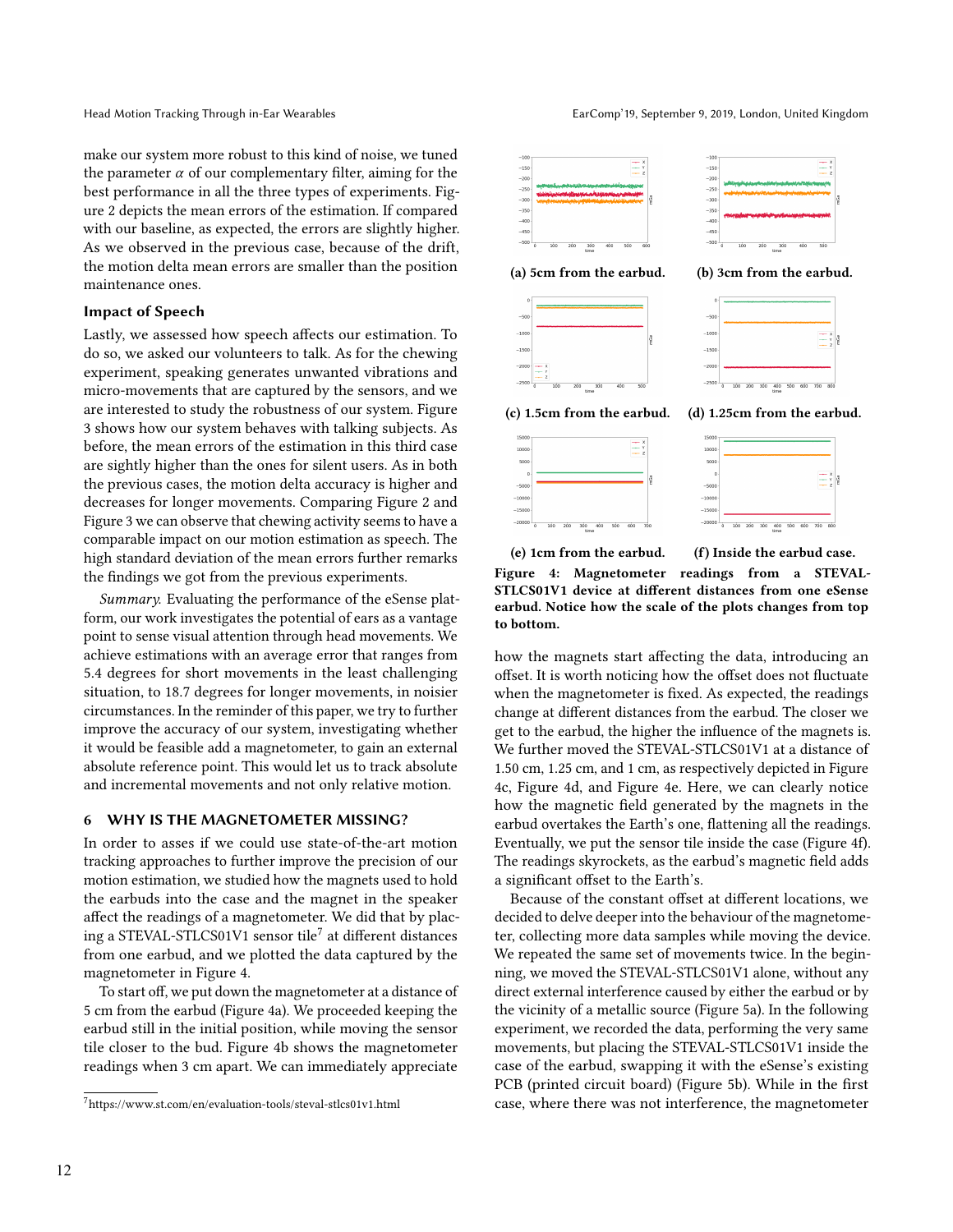make our system more robust to this kind of noise, we tuned the parameter  $\alpha$  of our complementary filter, aiming for the best performance in all the three types of experiments. Figure [2](#page-3-2) depicts the mean errors of the estimation. If compared with our baseline, as expected, the errors are slightly higher. As we observed in the previous case, because of the drift, the motion delta mean errors are smaller than the position maintenance ones.

#### Impact of Speech

Lastly, we assessed how speech affects our estimation. To do so, we asked our volunteers to talk. As for the chewing experiment, speaking generates unwanted vibrations and micro-movements that are captured by the sensors, and we are interested to study the robustness of our system. Figure [3](#page-3-3) shows how our system behaves with talking subjects. As before, the mean errors of the estimation in this third case are sightly higher than the ones for silent users. As in both the previous cases, the motion delta accuracy is higher and decreases for longer movements. Comparing Figure [2](#page-3-2) and Figure [3](#page-3-3) we can observe that chewing activity seems to have a comparable impact on our motion estimation as speech. The high standard deviation of the mean errors further remarks the findings we got from the previous experiments.

Summary. Evaluating the performance of the eSense platform, our work investigates the potential of ears as a vantage point to sense visual attention through head movements. We achieve estimations with an average error that ranges from 5.4 degrees for short movements in the least challenging situation, to 18.7 degrees for longer movements, in noisier circumstances. In the reminder of this paper, we try to further improve the accuracy of our system, investigating whether it would be feasible add a magnetometer, to gain an external absolute reference point. This would let us to track absolute and incremental movements and not only relative motion.

# 6 WHY IS THE MAGNETOMETER MISSING?

In order to asses if we could use state-of-the-art motion tracking approaches to further improve the precision of our motion estimation, we studied how the magnets used to hold the earbuds into the case and the magnet in the speaker affect the readings of a magnetometer. We did that by placing a STEVAL-STLCS01V1 sensor tile $^7$  $^7$  at different distances from one earbud, and we plotted the data captured by the magnetometer in Figure [4.](#page-4-1)

To start off, we put down the magnetometer at a distance of 5 cm from the earbud (Figure [4a\)](#page-4-1). We proceeded keeping the earbud still in the initial position, while moving the sensor tile closer to the bud. Figure [4b](#page-4-1) shows the magnetometer readings when 3 cm apart. We can immediately appreciate

<span id="page-4-1"></span>

(e) 1cm from the earbud. (f) Inside the earbud case. Figure 4: Magnetometer readings from a STEVAL-STLCS01V1 device at different distances from one eSense earbud. Notice how the scale of the plots changes from top to bottom.

how the magnets start affecting the data, introducing an offset. It is worth noticing how the offset does not fluctuate when the magnetometer is fixed. As expected, the readings change at different distances from the earbud. The closer we get to the earbud, the higher the influence of the magnets is. We further moved the STEVAL-STLCS01V1 at a distance of 1.50 cm, 1.25 cm, and 1 cm, as respectively depicted in Figure [4c,](#page-4-1) Figure [4d,](#page-4-1) and Figure [4e.](#page-4-1) Here, we can clearly notice how the magnetic field generated by the magnets in the earbud overtakes the Earth's one, flattening all the readings. Eventually, we put the sensor tile inside the case (Figure [4f\)](#page-4-1). The readings skyrockets, as the earbud's magnetic field adds a significant offset to the Earth's.

Because of the constant offset at different locations, we decided to delve deeper into the behaviour of the magnetometer, collecting more data samples while moving the device. We repeated the same set of movements twice. In the beginning, we moved the STEVAL-STLCS01V1 alone, without any direct external interference caused by either the earbud or by the vicinity of a metallic source (Figure [5a\)](#page-5-16). In the following experiment, we recorded the data, performing the very same movements, but placing the STEVAL-STLCS01V1 inside the case of the earbud, swapping it with the eSense's existing PCB (printed circuit board) (Figure [5b\)](#page-5-16). While in the first case, where there was not interference, the magnetometer

<span id="page-4-0"></span> $^7$ https://www.st.com/en/evaluation-tools/steval-stlcs01v1.html